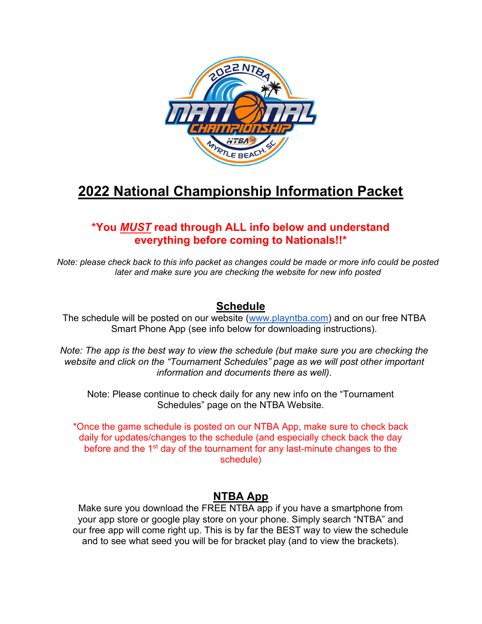

# 2022 National Championship Information Packet

# \*You MUST read through ALL info below and understand everything before coming to Nationals!!\*

Note: please check back to this info packet as changes could be made or more info could be posted later and make sure you are checking the website for new info posted

## Schedule

The schedule will be posted on our website (www.playntba.com) and on our free NTBA Smart Phone App (see info below for downloading instructions).

Note: The app is the best way to view the schedule (but make sure you are checking the website and click on the "Tournament Schedules" page as we will post other important information and documents there as well).

Note: Please continue to check daily for any new info on the "Tournament Schedules" page on the NTBA Website.

\*Once the game schedule is posted on our NTBA App, make sure to check back daily for updates/changes to the schedule (and especially check back the day before and the 1<sup>st</sup> day of the tournament for any last-minute changes to the schedule)

# NTBA App

Make sure you download the FREE NTBA app if you have a smartphone from your app store or google play store on your phone. Simply search "NTBA" and our free app will come right up. This is by far the BEST way to view the schedule and to see what seed you will be for bracket play (and to view the brackets).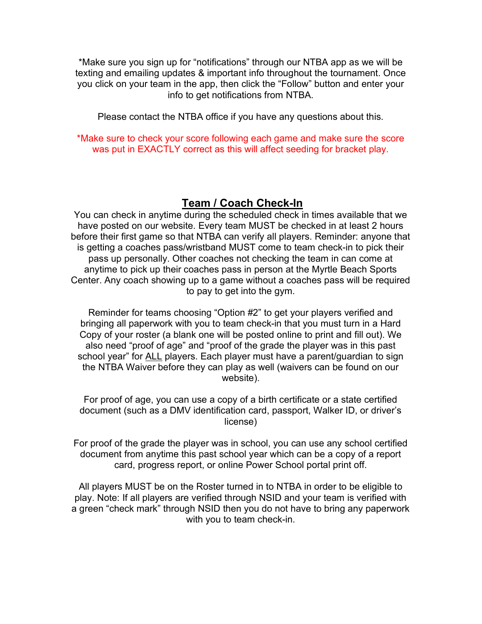\*Make sure you sign up for "notifications" through our NTBA app as we will be texting and emailing updates & important info throughout the tournament. Once you click on your team in the app, then click the "Follow" button and enter your info to get notifications from NTBA.

Please contact the NTBA office if you have any questions about this.

\*Make sure to check your score following each game and make sure the score was put in EXACTLY correct as this will affect seeding for bracket play.

#### Team / Coach Check-In

You can check in anytime during the scheduled check in times available that we have posted on our website. Every team MUST be checked in at least 2 hours before their first game so that NTBA can verify all players. Reminder: anyone that is getting a coaches pass/wristband MUST come to team check-in to pick their pass up personally. Other coaches not checking the team in can come at anytime to pick up their coaches pass in person at the Myrtle Beach Sports Center. Any coach showing up to a game without a coaches pass will be required to pay to get into the gym.

Reminder for teams choosing "Option #2" to get your players verified and bringing all paperwork with you to team check-in that you must turn in a Hard Copy of your roster (a blank one will be posted online to print and fill out). We also need "proof of age" and "proof of the grade the player was in this past school year" for ALL players. Each player must have a parent/guardian to sign the NTBA Waiver before they can play as well (waivers can be found on our website).

For proof of age, you can use a copy of a birth certificate or a state certified document (such as a DMV identification card, passport, Walker ID, or driver's license)

For proof of the grade the player was in school, you can use any school certified document from anytime this past school year which can be a copy of a report card, progress report, or online Power School portal print off.

All players MUST be on the Roster turned in to NTBA in order to be eligible to play. Note: If all players are verified through NSID and your team is verified with a green "check mark" through NSID then you do not have to bring any paperwork with you to team check-in.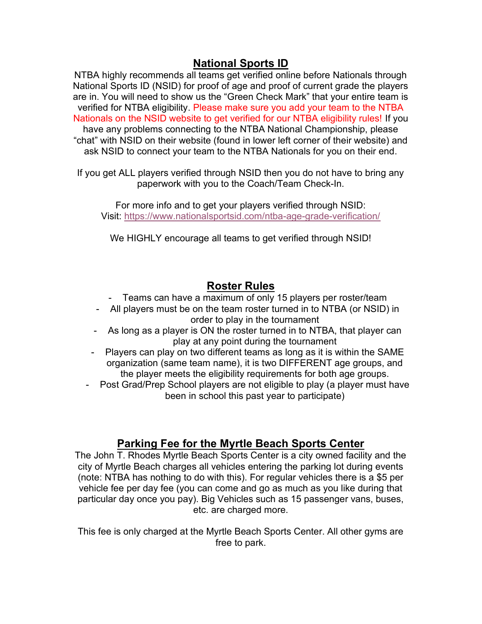### National Sports ID

NTBA highly recommends all teams get verified online before Nationals through National Sports ID (NSID) for proof of age and proof of current grade the players are in. You will need to show us the "Green Check Mark" that your entire team is verified for NTBA eligibility. Please make sure you add your team to the NTBA Nationals on the NSID website to get verified for our NTBA eligibility rules! If you have any problems connecting to the NTBA National Championship, please "chat" with NSID on their website (found in lower left corner of their website) and ask NSID to connect your team to the NTBA Nationals for you on their end.

If you get ALL players verified through NSID then you do not have to bring any paperwork with you to the Coach/Team Check-In.

For more info and to get your players verified through NSID: Visit: https://www.nationalsportsid.com/ntba-age-grade-verification/

We HIGHLY encourage all teams to get verified through NSID!

### Roster Rules

- Teams can have a maximum of only 15 players per roster/team
- All players must be on the team roster turned in to NTBA (or NSID) in order to play in the tournament
- As long as a player is ON the roster turned in to NTBA, that player can play at any point during the tournament
- Players can play on two different teams as long as it is within the SAME organization (same team name), it is two DIFFERENT age groups, and the player meets the eligibility requirements for both age groups.
- Post Grad/Prep School players are not eligible to play (a player must have been in school this past year to participate)

## Parking Fee for the Myrtle Beach Sports Center

The John T. Rhodes Myrtle Beach Sports Center is a city owned facility and the city of Myrtle Beach charges all vehicles entering the parking lot during events (note: NTBA has nothing to do with this). For regular vehicles there is a \$5 per vehicle fee per day fee (you can come and go as much as you like during that particular day once you pay). Big Vehicles such as 15 passenger vans, buses, etc. are charged more.

This fee is only charged at the Myrtle Beach Sports Center. All other gyms are free to park.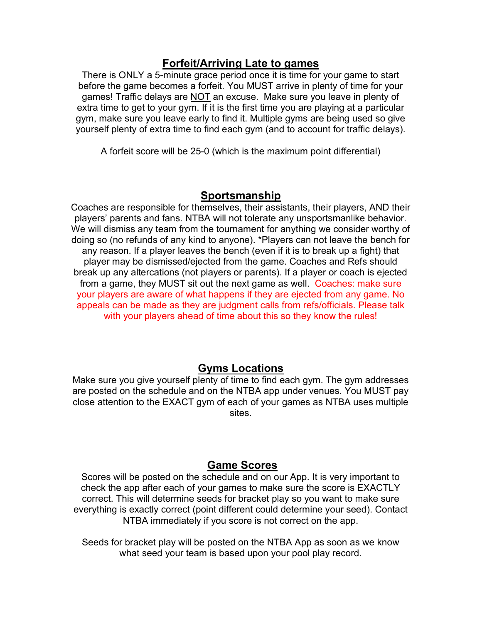### Forfeit/Arriving Late to games

There is ONLY a 5-minute grace period once it is time for your game to start before the game becomes a forfeit. You MUST arrive in plenty of time for your games! Traffic delays are NOT an excuse. Make sure you leave in plenty of extra time to get to your gym. If it is the first time you are playing at a particular gym, make sure you leave early to find it. Multiple gyms are being used so give yourself plenty of extra time to find each gym (and to account for traffic delays).

A forfeit score will be 25-0 (which is the maximum point differential)

#### Sportsmanship

Coaches are responsible for themselves, their assistants, their players, AND their players' parents and fans. NTBA will not tolerate any unsportsmanlike behavior. We will dismiss any team from the tournament for anything we consider worthy of doing so (no refunds of any kind to anyone). \*Players can not leave the bench for any reason. If a player leaves the bench (even if it is to break up a fight) that player may be dismissed/ejected from the game. Coaches and Refs should break up any altercations (not players or parents). If a player or coach is ejected from a game, they MUST sit out the next game as well. Coaches: make sure your players are aware of what happens if they are ejected from any game. No appeals can be made as they are judgment calls from refs/officials. Please talk with your players ahead of time about this so they know the rules!

#### Gyms Locations

Make sure you give yourself plenty of time to find each gym. The gym addresses are posted on the schedule and on the NTBA app under venues. You MUST pay close attention to the EXACT gym of each of your games as NTBA uses multiple sites.

### Game Scores

Scores will be posted on the schedule and on our App. It is very important to check the app after each of your games to make sure the score is EXACTLY correct. This will determine seeds for bracket play so you want to make sure everything is exactly correct (point different could determine your seed). Contact NTBA immediately if you score is not correct on the app.

Seeds for bracket play will be posted on the NTBA App as soon as we know what seed your team is based upon your pool play record.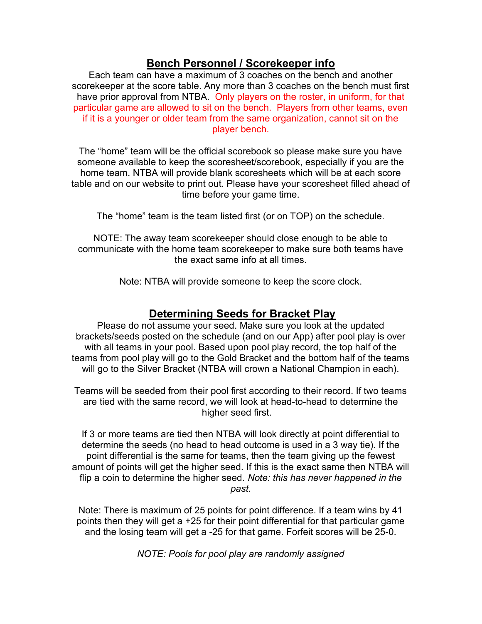### Bench Personnel / Scorekeeper info

Each team can have a maximum of 3 coaches on the bench and another scorekeeper at the score table. Any more than 3 coaches on the bench must first have prior approval from NTBA. Only players on the roster, in uniform, for that particular game are allowed to sit on the bench. Players from other teams, even if it is a younger or older team from the same organization, cannot sit on the player bench.

The "home" team will be the official scorebook so please make sure you have someone available to keep the scoresheet/scorebook, especially if you are the home team. NTBA will provide blank scoresheets which will be at each score table and on our website to print out. Please have your scoresheet filled ahead of time before your game time.

The "home" team is the team listed first (or on TOP) on the schedule.

NOTE: The away team scorekeeper should close enough to be able to communicate with the home team scorekeeper to make sure both teams have the exact same info at all times.

Note: NTBA will provide someone to keep the score clock.

# Determining Seeds for Bracket Play

Please do not assume your seed. Make sure you look at the updated brackets/seeds posted on the schedule (and on our App) after pool play is over with all teams in your pool. Based upon pool play record, the top half of the teams from pool play will go to the Gold Bracket and the bottom half of the teams will go to the Silver Bracket (NTBA will crown a National Champion in each).

Teams will be seeded from their pool first according to their record. If two teams are tied with the same record, we will look at head-to-head to determine the higher seed first.

If 3 or more teams are tied then NTBA will look directly at point differential to determine the seeds (no head to head outcome is used in a 3 way tie). If the point differential is the same for teams, then the team giving up the fewest amount of points will get the higher seed. If this is the exact same then NTBA will flip a coin to determine the higher seed. Note: this has never happened in the past.

Note: There is maximum of 25 points for point difference. If a team wins by 41 points then they will get a +25 for their point differential for that particular game and the losing team will get a -25 for that game. Forfeit scores will be 25-0.

NOTE: Pools for pool play are randomly assigned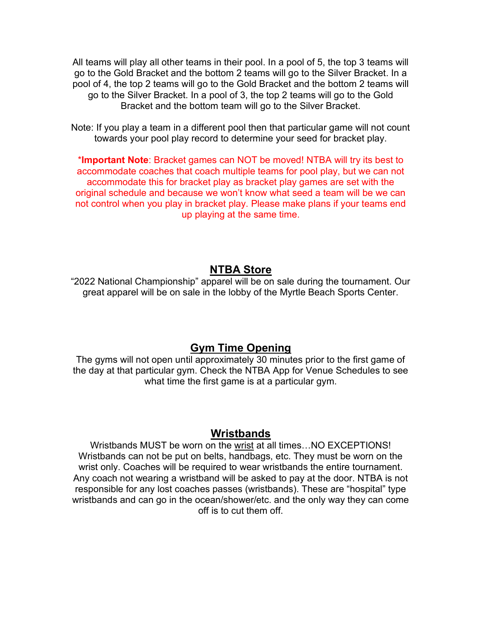All teams will play all other teams in their pool. In a pool of 5, the top 3 teams will go to the Gold Bracket and the bottom 2 teams will go to the Silver Bracket. In a pool of 4, the top 2 teams will go to the Gold Bracket and the bottom 2 teams will go to the Silver Bracket. In a pool of 3, the top 2 teams will go to the Gold Bracket and the bottom team will go to the Silver Bracket.

Note: If you play a team in a different pool then that particular game will not count towards your pool play record to determine your seed for bracket play.

\*Important Note: Bracket games can NOT be moved! NTBA will try its best to accommodate coaches that coach multiple teams for pool play, but we can not accommodate this for bracket play as bracket play games are set with the original schedule and because we won't know what seed a team will be we can not control when you play in bracket play. Please make plans if your teams end up playing at the same time.

#### NTBA Store

"2022 National Championship" apparel will be on sale during the tournament. Our great apparel will be on sale in the lobby of the Myrtle Beach Sports Center.

#### Gym Time Opening

The gyms will not open until approximately 30 minutes prior to the first game of the day at that particular gym. Check the NTBA App for Venue Schedules to see what time the first game is at a particular gym.

#### **Wristbands**

Wristbands MUST be worn on the wrist at all times…NO EXCEPTIONS! Wristbands can not be put on belts, handbags, etc. They must be worn on the wrist only. Coaches will be required to wear wristbands the entire tournament. Any coach not wearing a wristband will be asked to pay at the door. NTBA is not responsible for any lost coaches passes (wristbands). These are "hospital" type wristbands and can go in the ocean/shower/etc. and the only way they can come off is to cut them off.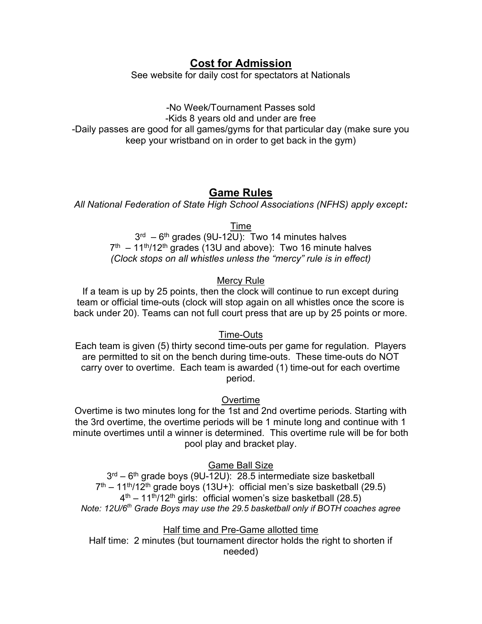### Cost for Admission

See website for daily cost for spectators at Nationals

-No Week/Tournament Passes sold -Kids 8 years old and under are free -Daily passes are good for all games/gyms for that particular day (make sure you keep your wristband on in order to get back in the gym)

#### Game Rules

All National Federation of State High School Associations (NFHS) apply except:

Time

 $3<sup>rd</sup> - 6<sup>th</sup>$  grades (9U-12U): Two 14 minutes halves  $7<sup>th</sup>$  – 11<sup>th</sup>/12<sup>th</sup> grades (13U and above): Two 16 minute halves (Clock stops on all whistles unless the "mercy" rule is in effect)

#### Mercy Rule

If a team is up by 25 points, then the clock will continue to run except during team or official time-outs (clock will stop again on all whistles once the score is back under 20). Teams can not full court press that are up by 25 points or more.

Time-Outs

Each team is given (5) thirty second time-outs per game for regulation. Players are permitted to sit on the bench during time-outs. These time-outs do NOT carry over to overtime. Each team is awarded (1) time-out for each overtime period.

#### **Overtime**

Overtime is two minutes long for the 1st and 2nd overtime periods. Starting with the 3rd overtime, the overtime periods will be 1 minute long and continue with 1 minute overtimes until a winner is determined. This overtime rule will be for both pool play and bracket play.

Game Ball Size

3<sup>rd</sup> – 6<sup>th</sup> grade boys (9U-12U): 28.5 intermediate size basketball  $7<sup>th</sup>$  – 11<sup>th</sup>/12<sup>th</sup> grade boys (13U+): official men's size basketball (29.5)  $4<sup>th</sup>$  – 11<sup>th</sup>/12<sup>th</sup> girls: official women's size basketball (28.5) Note: 12U/6<sup>th</sup> Grade Boys may use the 29.5 basketball only if BOTH coaches agree

Half time and Pre-Game allotted time Half time: 2 minutes (but tournament director holds the right to shorten if needed)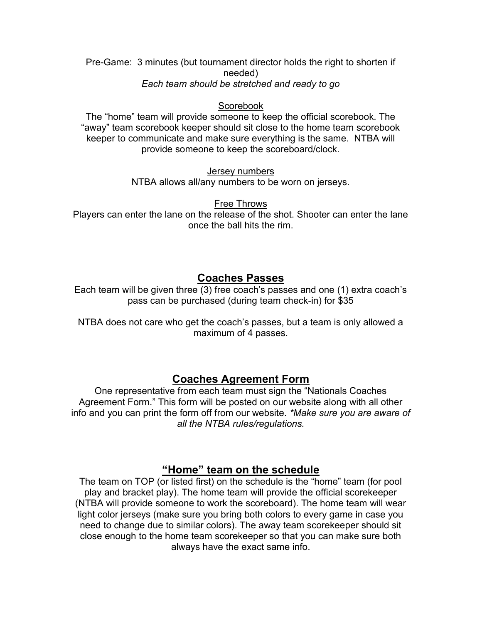Pre-Game: 3 minutes (but tournament director holds the right to shorten if needed) Each team should be stretched and ready to go

#### Scorebook

The "home" team will provide someone to keep the official scorebook. The "away" team scorebook keeper should sit close to the home team scorebook keeper to communicate and make sure everything is the same. NTBA will provide someone to keep the scoreboard/clock.

Jersey numbers

NTBA allows all/any numbers to be worn on jerseys.

Free Throws

Players can enter the lane on the release of the shot. Shooter can enter the lane once the ball hits the rim.

#### Coaches Passes

Each team will be given three  $(3)$  free coach's passes and one (1) extra coach's pass can be purchased (during team check-in) for \$35

NTBA does not care who get the coach's passes, but a team is only allowed a maximum of 4 passes.

#### Coaches Agreement Form

One representative from each team must sign the "Nationals Coaches Agreement Form." This form will be posted on our website along with all other info and you can print the form off from our website. \*Make sure you are aware of all the NTBA rules/regulations.

### "Home" team on the schedule

The team on TOP (or listed first) on the schedule is the "home" team (for pool play and bracket play). The home team will provide the official scorekeeper (NTBA will provide someone to work the scoreboard). The home team will wear light color jerseys (make sure you bring both colors to every game in case you need to change due to similar colors). The away team scorekeeper should sit close enough to the home team scorekeeper so that you can make sure both always have the exact same info.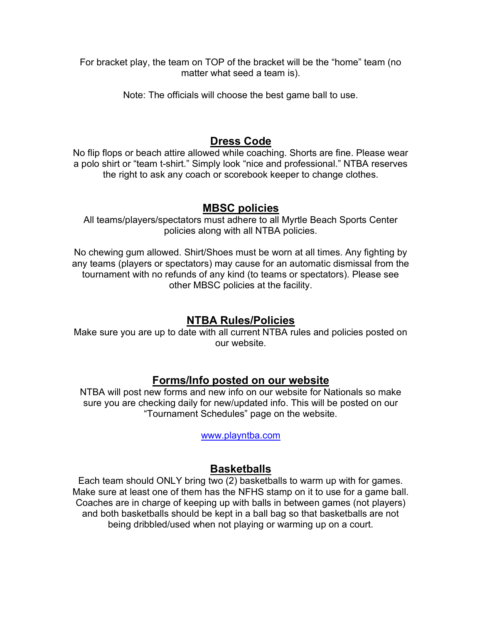For bracket play, the team on TOP of the bracket will be the "home" team (no matter what seed a team is).

Note: The officials will choose the best game ball to use.

## Dress Code

No flip flops or beach attire allowed while coaching. Shorts are fine. Please wear a polo shirt or "team t-shirt." Simply look "nice and professional." NTBA reserves the right to ask any coach or scorebook keeper to change clothes.

#### MBSC policies

All teams/players/spectators must adhere to all Myrtle Beach Sports Center policies along with all NTBA policies.

No chewing gum allowed. Shirt/Shoes must be worn at all times. Any fighting by any teams (players or spectators) may cause for an automatic dismissal from the tournament with no refunds of any kind (to teams or spectators). Please see other MBSC policies at the facility.

## NTBA Rules/Policies

Make sure you are up to date with all current NTBA rules and policies posted on our website.

### Forms/Info posted on our website

NTBA will post new forms and new info on our website for Nationals so make sure you are checking daily for new/updated info. This will be posted on our "Tournament Schedules" page on the website.

www.playntba.com

## **Basketballs**

Each team should ONLY bring two (2) basketballs to warm up with for games. Make sure at least one of them has the NFHS stamp on it to use for a game ball. Coaches are in charge of keeping up with balls in between games (not players) and both basketballs should be kept in a ball bag so that basketballs are not being dribbled/used when not playing or warming up on a court.